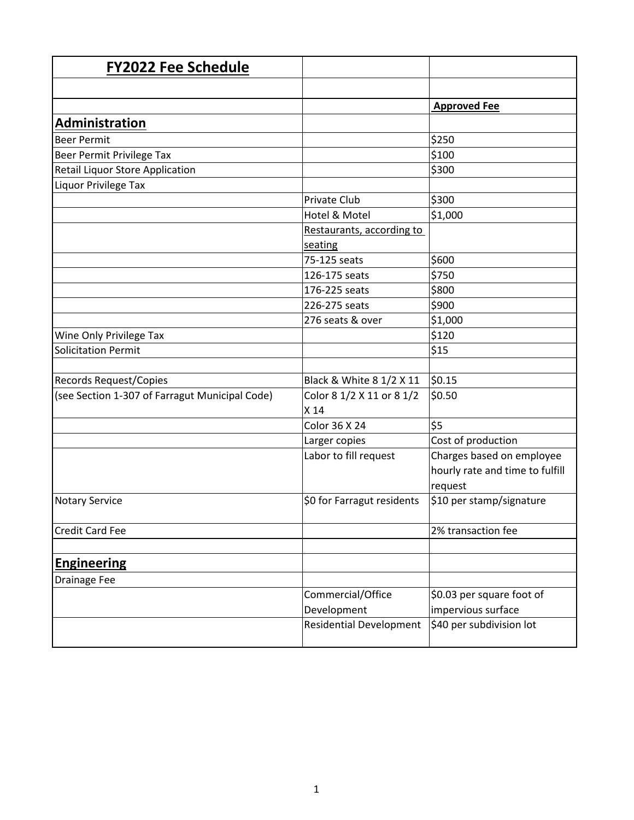| <b>FY2022 Fee Schedule</b>                     |                                |                                 |
|------------------------------------------------|--------------------------------|---------------------------------|
|                                                |                                |                                 |
|                                                |                                | <b>Approved Fee</b>             |
| <b>Administration</b>                          |                                |                                 |
| <b>Beer Permit</b>                             |                                | \$250                           |
| Beer Permit Privilege Tax                      |                                | \$100                           |
| Retail Liquor Store Application                |                                | \$300                           |
| Liquor Privilege Tax                           |                                |                                 |
|                                                | Private Club                   | \$300                           |
|                                                | Hotel & Motel                  | \$1,000                         |
|                                                | Restaurants, according to      |                                 |
|                                                | seating                        |                                 |
|                                                | 75-125 seats                   | \$600                           |
|                                                | 126-175 seats                  | \$750                           |
|                                                | 176-225 seats                  | \$800                           |
|                                                | 226-275 seats                  | \$900                           |
|                                                | 276 seats & over               | \$1,000                         |
| Wine Only Privilege Tax                        |                                | \$120                           |
| <b>Solicitation Permit</b>                     |                                | \$15                            |
|                                                |                                |                                 |
| Records Request/Copies                         | Black & White 8 1/2 X 11       | \$0.15                          |
| (see Section 1-307 of Farragut Municipal Code) | Color 8 1/2 X 11 or 8 1/2      | \$0.50                          |
|                                                | X 14                           |                                 |
|                                                | Color 36 X 24                  | \$5                             |
|                                                | Larger copies                  | Cost of production              |
|                                                | Labor to fill request          | Charges based on employee       |
|                                                |                                | hourly rate and time to fulfill |
|                                                |                                | request                         |
| <b>Notary Service</b>                          | \$0 for Farragut residents     | \$10 per stamp/signature        |
| Credit Card Fee                                |                                | 2% transaction fee              |
|                                                |                                |                                 |
| <b>Engineering</b>                             |                                |                                 |
| Drainage Fee                                   |                                |                                 |
|                                                | Commercial/Office              | \$0.03 per square foot of       |
|                                                | Development                    | impervious surface              |
|                                                | <b>Residential Development</b> | \$40 per subdivision lot        |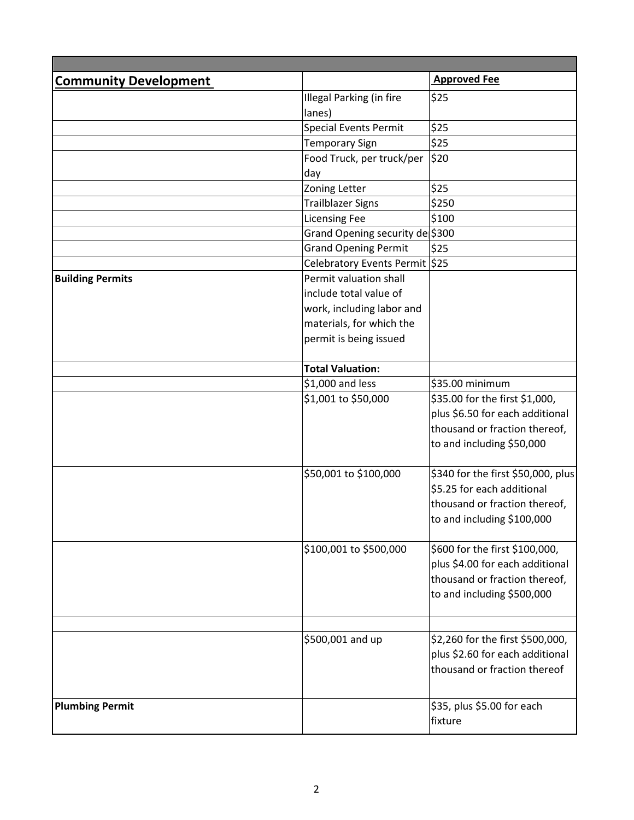| <b>Approved Fee</b><br><b>Community Development</b><br>\$25<br>Illegal Parking (in fire<br>lanes)<br>\$25<br><b>Special Events Permit</b><br>\$25<br><b>Temporary Sign</b><br>Food Truck, per truck/per<br>\$20<br>day<br>\$25<br>Zoning Letter<br>\$250<br><b>Trailblazer Signs</b><br><b>Licensing Fee</b><br>\$100<br>Grand Opening security de \$300<br>\$25<br><b>Grand Opening Permit</b><br>Celebratory Events Permit \$25<br>Permit valuation shall<br>include total value of<br>work, including labor and<br>materials, for which the<br>permit is being issued<br><b>Total Valuation:</b><br>\$1,000 and less<br>\$35.00 minimum<br>\$1,001 to \$50,000<br>\$35.00 for the first \$1,000,<br>plus \$6.50 for each additional<br>thousand or fraction thereof,<br>to and including \$50,000<br>\$50,001 to \$100,000<br>\$340 for the first \$50,000, plus<br>\$5.25 for each additional<br>thousand or fraction thereof,<br>to and including \$100,000<br>\$100,001 to \$500,000<br>\$600 for the first \$100,000,<br>plus \$4.00 for each additional<br>thousand or fraction thereof,<br>to and including \$500,000<br>\$500,001 and up<br>\$2,260 for the first \$500,000,<br>plus \$2.60 for each additional<br>thousand or fraction thereof<br>\$35, plus \$5.00 for each |                         |  |
|-----------------------------------------------------------------------------------------------------------------------------------------------------------------------------------------------------------------------------------------------------------------------------------------------------------------------------------------------------------------------------------------------------------------------------------------------------------------------------------------------------------------------------------------------------------------------------------------------------------------------------------------------------------------------------------------------------------------------------------------------------------------------------------------------------------------------------------------------------------------------------------------------------------------------------------------------------------------------------------------------------------------------------------------------------------------------------------------------------------------------------------------------------------------------------------------------------------------------------------------------------------------------------------------|-------------------------|--|
|                                                                                                                                                                                                                                                                                                                                                                                                                                                                                                                                                                                                                                                                                                                                                                                                                                                                                                                                                                                                                                                                                                                                                                                                                                                                                         |                         |  |
|                                                                                                                                                                                                                                                                                                                                                                                                                                                                                                                                                                                                                                                                                                                                                                                                                                                                                                                                                                                                                                                                                                                                                                                                                                                                                         |                         |  |
|                                                                                                                                                                                                                                                                                                                                                                                                                                                                                                                                                                                                                                                                                                                                                                                                                                                                                                                                                                                                                                                                                                                                                                                                                                                                                         |                         |  |
|                                                                                                                                                                                                                                                                                                                                                                                                                                                                                                                                                                                                                                                                                                                                                                                                                                                                                                                                                                                                                                                                                                                                                                                                                                                                                         |                         |  |
|                                                                                                                                                                                                                                                                                                                                                                                                                                                                                                                                                                                                                                                                                                                                                                                                                                                                                                                                                                                                                                                                                                                                                                                                                                                                                         |                         |  |
|                                                                                                                                                                                                                                                                                                                                                                                                                                                                                                                                                                                                                                                                                                                                                                                                                                                                                                                                                                                                                                                                                                                                                                                                                                                                                         |                         |  |
|                                                                                                                                                                                                                                                                                                                                                                                                                                                                                                                                                                                                                                                                                                                                                                                                                                                                                                                                                                                                                                                                                                                                                                                                                                                                                         |                         |  |
|                                                                                                                                                                                                                                                                                                                                                                                                                                                                                                                                                                                                                                                                                                                                                                                                                                                                                                                                                                                                                                                                                                                                                                                                                                                                                         |                         |  |
|                                                                                                                                                                                                                                                                                                                                                                                                                                                                                                                                                                                                                                                                                                                                                                                                                                                                                                                                                                                                                                                                                                                                                                                                                                                                                         |                         |  |
|                                                                                                                                                                                                                                                                                                                                                                                                                                                                                                                                                                                                                                                                                                                                                                                                                                                                                                                                                                                                                                                                                                                                                                                                                                                                                         |                         |  |
|                                                                                                                                                                                                                                                                                                                                                                                                                                                                                                                                                                                                                                                                                                                                                                                                                                                                                                                                                                                                                                                                                                                                                                                                                                                                                         |                         |  |
|                                                                                                                                                                                                                                                                                                                                                                                                                                                                                                                                                                                                                                                                                                                                                                                                                                                                                                                                                                                                                                                                                                                                                                                                                                                                                         |                         |  |
|                                                                                                                                                                                                                                                                                                                                                                                                                                                                                                                                                                                                                                                                                                                                                                                                                                                                                                                                                                                                                                                                                                                                                                                                                                                                                         |                         |  |
|                                                                                                                                                                                                                                                                                                                                                                                                                                                                                                                                                                                                                                                                                                                                                                                                                                                                                                                                                                                                                                                                                                                                                                                                                                                                                         | <b>Building Permits</b> |  |
|                                                                                                                                                                                                                                                                                                                                                                                                                                                                                                                                                                                                                                                                                                                                                                                                                                                                                                                                                                                                                                                                                                                                                                                                                                                                                         |                         |  |
|                                                                                                                                                                                                                                                                                                                                                                                                                                                                                                                                                                                                                                                                                                                                                                                                                                                                                                                                                                                                                                                                                                                                                                                                                                                                                         |                         |  |
|                                                                                                                                                                                                                                                                                                                                                                                                                                                                                                                                                                                                                                                                                                                                                                                                                                                                                                                                                                                                                                                                                                                                                                                                                                                                                         |                         |  |
|                                                                                                                                                                                                                                                                                                                                                                                                                                                                                                                                                                                                                                                                                                                                                                                                                                                                                                                                                                                                                                                                                                                                                                                                                                                                                         |                         |  |
|                                                                                                                                                                                                                                                                                                                                                                                                                                                                                                                                                                                                                                                                                                                                                                                                                                                                                                                                                                                                                                                                                                                                                                                                                                                                                         |                         |  |
|                                                                                                                                                                                                                                                                                                                                                                                                                                                                                                                                                                                                                                                                                                                                                                                                                                                                                                                                                                                                                                                                                                                                                                                                                                                                                         |                         |  |
|                                                                                                                                                                                                                                                                                                                                                                                                                                                                                                                                                                                                                                                                                                                                                                                                                                                                                                                                                                                                                                                                                                                                                                                                                                                                                         |                         |  |
|                                                                                                                                                                                                                                                                                                                                                                                                                                                                                                                                                                                                                                                                                                                                                                                                                                                                                                                                                                                                                                                                                                                                                                                                                                                                                         |                         |  |
|                                                                                                                                                                                                                                                                                                                                                                                                                                                                                                                                                                                                                                                                                                                                                                                                                                                                                                                                                                                                                                                                                                                                                                                                                                                                                         |                         |  |
|                                                                                                                                                                                                                                                                                                                                                                                                                                                                                                                                                                                                                                                                                                                                                                                                                                                                                                                                                                                                                                                                                                                                                                                                                                                                                         |                         |  |
|                                                                                                                                                                                                                                                                                                                                                                                                                                                                                                                                                                                                                                                                                                                                                                                                                                                                                                                                                                                                                                                                                                                                                                                                                                                                                         |                         |  |
|                                                                                                                                                                                                                                                                                                                                                                                                                                                                                                                                                                                                                                                                                                                                                                                                                                                                                                                                                                                                                                                                                                                                                                                                                                                                                         |                         |  |
|                                                                                                                                                                                                                                                                                                                                                                                                                                                                                                                                                                                                                                                                                                                                                                                                                                                                                                                                                                                                                                                                                                                                                                                                                                                                                         |                         |  |
|                                                                                                                                                                                                                                                                                                                                                                                                                                                                                                                                                                                                                                                                                                                                                                                                                                                                                                                                                                                                                                                                                                                                                                                                                                                                                         |                         |  |
|                                                                                                                                                                                                                                                                                                                                                                                                                                                                                                                                                                                                                                                                                                                                                                                                                                                                                                                                                                                                                                                                                                                                                                                                                                                                                         |                         |  |
|                                                                                                                                                                                                                                                                                                                                                                                                                                                                                                                                                                                                                                                                                                                                                                                                                                                                                                                                                                                                                                                                                                                                                                                                                                                                                         |                         |  |
|                                                                                                                                                                                                                                                                                                                                                                                                                                                                                                                                                                                                                                                                                                                                                                                                                                                                                                                                                                                                                                                                                                                                                                                                                                                                                         |                         |  |
|                                                                                                                                                                                                                                                                                                                                                                                                                                                                                                                                                                                                                                                                                                                                                                                                                                                                                                                                                                                                                                                                                                                                                                                                                                                                                         |                         |  |
|                                                                                                                                                                                                                                                                                                                                                                                                                                                                                                                                                                                                                                                                                                                                                                                                                                                                                                                                                                                                                                                                                                                                                                                                                                                                                         |                         |  |
|                                                                                                                                                                                                                                                                                                                                                                                                                                                                                                                                                                                                                                                                                                                                                                                                                                                                                                                                                                                                                                                                                                                                                                                                                                                                                         |                         |  |
|                                                                                                                                                                                                                                                                                                                                                                                                                                                                                                                                                                                                                                                                                                                                                                                                                                                                                                                                                                                                                                                                                                                                                                                                                                                                                         |                         |  |
|                                                                                                                                                                                                                                                                                                                                                                                                                                                                                                                                                                                                                                                                                                                                                                                                                                                                                                                                                                                                                                                                                                                                                                                                                                                                                         |                         |  |
|                                                                                                                                                                                                                                                                                                                                                                                                                                                                                                                                                                                                                                                                                                                                                                                                                                                                                                                                                                                                                                                                                                                                                                                                                                                                                         |                         |  |
|                                                                                                                                                                                                                                                                                                                                                                                                                                                                                                                                                                                                                                                                                                                                                                                                                                                                                                                                                                                                                                                                                                                                                                                                                                                                                         |                         |  |
|                                                                                                                                                                                                                                                                                                                                                                                                                                                                                                                                                                                                                                                                                                                                                                                                                                                                                                                                                                                                                                                                                                                                                                                                                                                                                         |                         |  |
|                                                                                                                                                                                                                                                                                                                                                                                                                                                                                                                                                                                                                                                                                                                                                                                                                                                                                                                                                                                                                                                                                                                                                                                                                                                                                         |                         |  |
|                                                                                                                                                                                                                                                                                                                                                                                                                                                                                                                                                                                                                                                                                                                                                                                                                                                                                                                                                                                                                                                                                                                                                                                                                                                                                         |                         |  |
|                                                                                                                                                                                                                                                                                                                                                                                                                                                                                                                                                                                                                                                                                                                                                                                                                                                                                                                                                                                                                                                                                                                                                                                                                                                                                         | <b>Plumbing Permit</b>  |  |
| fixture                                                                                                                                                                                                                                                                                                                                                                                                                                                                                                                                                                                                                                                                                                                                                                                                                                                                                                                                                                                                                                                                                                                                                                                                                                                                                 |                         |  |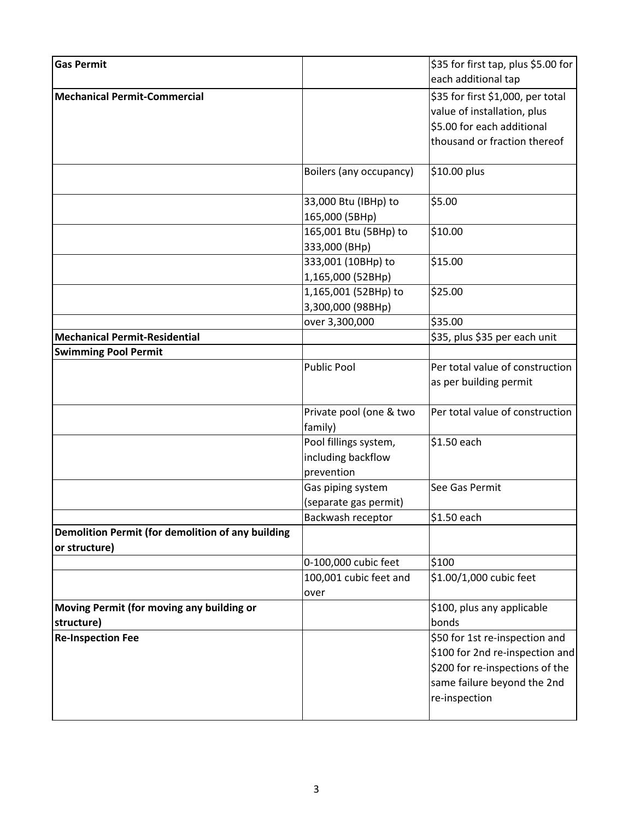| <b>Gas Permit</b>                                                  |                         | \$35 for first tap, plus \$5.00 for |
|--------------------------------------------------------------------|-------------------------|-------------------------------------|
|                                                                    |                         | each additional tap                 |
| <b>Mechanical Permit-Commercial</b>                                |                         | \$35 for first \$1,000, per total   |
|                                                                    |                         | value of installation, plus         |
|                                                                    |                         | \$5.00 for each additional          |
|                                                                    |                         | thousand or fraction thereof        |
|                                                                    | Boilers (any occupancy) | \$10.00 plus                        |
|                                                                    | 33,000 Btu (IBHp) to    | \$5.00                              |
|                                                                    | 165,000 (5BHp)          |                                     |
|                                                                    | 165,001 Btu (5BHp) to   | \$10.00                             |
|                                                                    | 333,000 (BHp)           |                                     |
|                                                                    | 333,001 (10BHp) to      | \$15.00                             |
|                                                                    | 1,165,000 (52BHp)       |                                     |
|                                                                    | 1,165,001 (52BHp) to    | \$25.00                             |
|                                                                    | 3,300,000 (98BHp)       |                                     |
|                                                                    | over 3,300,000          | \$35.00                             |
| <b>Mechanical Permit-Residential</b>                               |                         | \$35, plus \$35 per each unit       |
| <b>Swimming Pool Permit</b>                                        |                         |                                     |
|                                                                    | <b>Public Pool</b>      | Per total value of construction     |
|                                                                    |                         | as per building permit              |
|                                                                    | Private pool (one & two | Per total value of construction     |
|                                                                    | family)                 |                                     |
|                                                                    | Pool fillings system,   | \$1.50 each                         |
|                                                                    | including backflow      |                                     |
|                                                                    | prevention              |                                     |
|                                                                    | Gas piping system       | See Gas Permit                      |
|                                                                    | (separate gas permit)   |                                     |
|                                                                    | Backwash receptor       | \$1.50 each                         |
| Demolition Permit (for demolition of any building<br>or structure) |                         |                                     |
|                                                                    | 0-100,000 cubic feet    | \$100                               |
|                                                                    | 100,001 cubic feet and  | \$1.00/1,000 cubic feet             |
|                                                                    | over                    |                                     |
| Moving Permit (for moving any building or                          |                         | \$100, plus any applicable          |
| structure)                                                         |                         | bonds                               |
| <b>Re-Inspection Fee</b>                                           |                         | \$50 for 1st re-inspection and      |
|                                                                    |                         | \$100 for 2nd re-inspection and     |
|                                                                    |                         | \$200 for re-inspections of the     |
|                                                                    |                         | same failure beyond the 2nd         |
|                                                                    |                         | re-inspection                       |
|                                                                    |                         |                                     |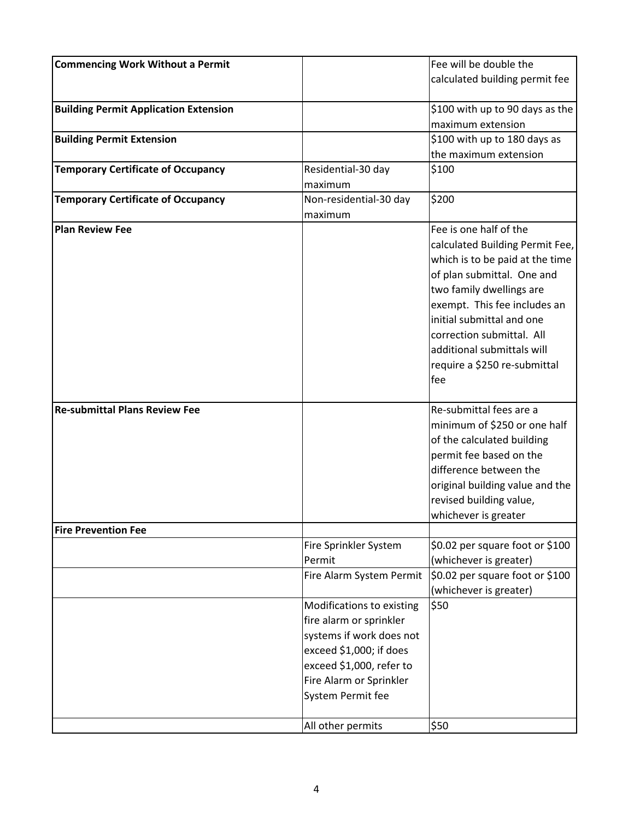| <b>Commencing Work Without a Permit</b>      |                                                                                                                                                      | Fee will be double the                                                                                                                                                                                                                                                                                                |
|----------------------------------------------|------------------------------------------------------------------------------------------------------------------------------------------------------|-----------------------------------------------------------------------------------------------------------------------------------------------------------------------------------------------------------------------------------------------------------------------------------------------------------------------|
|                                              |                                                                                                                                                      | calculated building permit fee                                                                                                                                                                                                                                                                                        |
|                                              |                                                                                                                                                      |                                                                                                                                                                                                                                                                                                                       |
| <b>Building Permit Application Extension</b> |                                                                                                                                                      | \$100 with up to 90 days as the                                                                                                                                                                                                                                                                                       |
|                                              |                                                                                                                                                      | maximum extension                                                                                                                                                                                                                                                                                                     |
| <b>Building Permit Extension</b>             |                                                                                                                                                      | \$100 with up to 180 days as                                                                                                                                                                                                                                                                                          |
|                                              |                                                                                                                                                      | the maximum extension                                                                                                                                                                                                                                                                                                 |
| <b>Temporary Certificate of Occupancy</b>    | Residential-30 day                                                                                                                                   | \$100                                                                                                                                                                                                                                                                                                                 |
|                                              | maximum                                                                                                                                              |                                                                                                                                                                                                                                                                                                                       |
| <b>Temporary Certificate of Occupancy</b>    | Non-residential-30 day                                                                                                                               | \$200                                                                                                                                                                                                                                                                                                                 |
|                                              | maximum                                                                                                                                              |                                                                                                                                                                                                                                                                                                                       |
| <b>Plan Review Fee</b>                       |                                                                                                                                                      | Fee is one half of the<br>calculated Building Permit Fee,<br>which is to be paid at the time<br>of plan submittal. One and<br>two family dwellings are<br>exempt. This fee includes an<br>initial submittal and one<br>correction submittal. All<br>additional submittals will<br>require a \$250 re-submittal<br>fee |
| <b>Re-submittal Plans Review Fee</b>         |                                                                                                                                                      | Re-submittal fees are a<br>minimum of \$250 or one half<br>of the calculated building<br>permit fee based on the<br>difference between the<br>original building value and the<br>revised building value,<br>whichever is greater                                                                                      |
| <b>Fire Prevention Fee</b>                   |                                                                                                                                                      |                                                                                                                                                                                                                                                                                                                       |
|                                              | Fire Sprinkler System<br>Permit<br>Fire Alarm System Permit<br>Modifications to existing<br>fire alarm or sprinkler                                  | \$0.02 per square foot or \$100<br>(whichever is greater)<br>\$0.02 per square foot or \$100<br>(whichever is greater)<br>\$50                                                                                                                                                                                        |
|                                              | systems if work does not<br>exceed \$1,000; if does<br>exceed \$1,000, refer to<br>Fire Alarm or Sprinkler<br>System Permit fee<br>All other permits | \$50                                                                                                                                                                                                                                                                                                                  |
|                                              |                                                                                                                                                      |                                                                                                                                                                                                                                                                                                                       |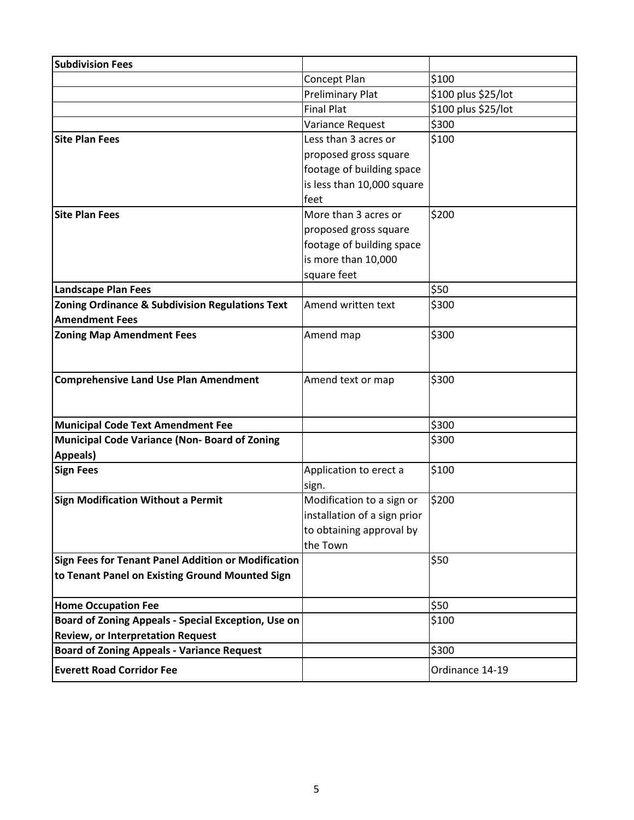| <b>Subdivision Fees</b>                                         |                              |                     |
|-----------------------------------------------------------------|------------------------------|---------------------|
|                                                                 | Concept Plan                 | \$100               |
|                                                                 | <b>Preliminary Plat</b>      | \$100 plus \$25/lot |
|                                                                 | <b>Final Plat</b>            | \$100 plus \$25/lot |
|                                                                 | Variance Request             | \$300               |
| <b>Site Plan Fees</b>                                           | Less than 3 acres or         | \$100               |
|                                                                 | proposed gross square        |                     |
|                                                                 | footage of building space    |                     |
|                                                                 | is less than 10,000 square   |                     |
|                                                                 | feet                         |                     |
| <b>Site Plan Fees</b>                                           | More than 3 acres or         | \$200               |
|                                                                 | proposed gross square        |                     |
|                                                                 | footage of building space    |                     |
|                                                                 | is more than 10,000          |                     |
|                                                                 | square feet                  |                     |
| <b>Landscape Plan Fees</b>                                      |                              | \$50                |
| <b>Zoning Ordinance &amp; Subdivision Regulations Text</b>      | Amend written text           | \$300               |
| <b>Amendment Fees</b>                                           |                              |                     |
| <b>Zoning Map Amendment Fees</b>                                | Amend map                    | \$300               |
|                                                                 |                              |                     |
|                                                                 |                              |                     |
| <b>Comprehensive Land Use Plan Amendment</b>                    | Amend text or map            | \$300               |
|                                                                 |                              |                     |
|                                                                 |                              |                     |
| <b>Municipal Code Text Amendment Fee</b>                        |                              | \$300               |
| <b>Municipal Code Variance (Non-Board of Zoning</b><br>Appeals) |                              | \$300               |
| <b>Sign Fees</b>                                                | Application to erect a       | \$100               |
|                                                                 | sign.                        |                     |
| <b>Sign Modification Without a Permit</b>                       | Modification to a sign or    | \$200               |
|                                                                 | installation of a sign prior |                     |
|                                                                 | to obtaining approval by     |                     |
|                                                                 | the Town                     |                     |
| Sign Fees for Tenant Panel Addition or Modification             |                              | \$50                |
| to Tenant Panel on Existing Ground Mounted Sign                 |                              |                     |
|                                                                 |                              |                     |
| <b>Home Occupation Fee</b>                                      |                              | \$50                |
| Board of Zoning Appeals - Special Exception, Use on             |                              | \$100               |
| <b>Review, or Interpretation Request</b>                        |                              |                     |
| <b>Board of Zoning Appeals - Variance Request</b>               |                              | \$300               |
| <b>Everett Road Corridor Fee</b>                                |                              | Ordinance 14-19     |
|                                                                 |                              |                     |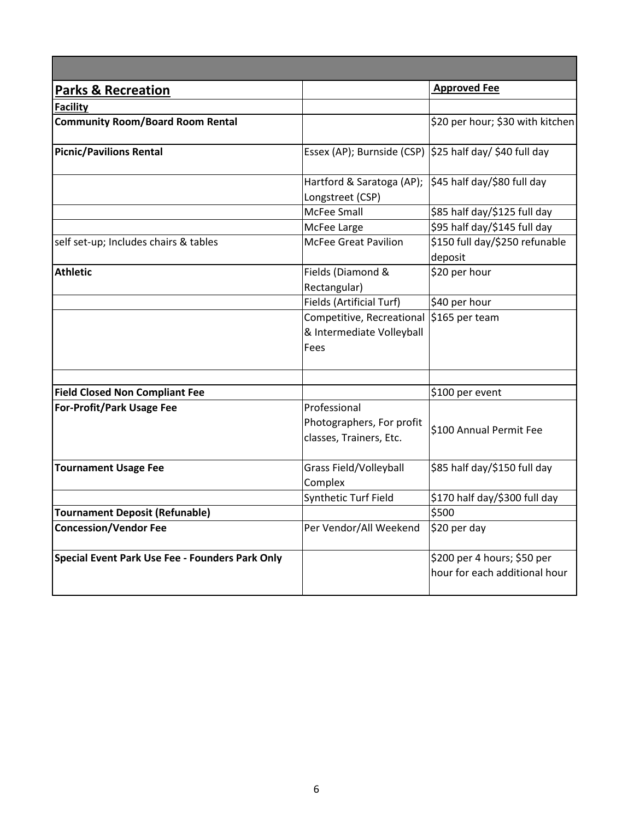| <b>Parks &amp; Recreation</b>                   |                                                                      | <b>Approved Fee</b>                                          |
|-------------------------------------------------|----------------------------------------------------------------------|--------------------------------------------------------------|
| <b>Facility</b>                                 |                                                                      |                                                              |
| <b>Community Room/Board Room Rental</b>         |                                                                      | \$20 per hour; \$30 with kitchen                             |
| <b>Picnic/Pavilions Rental</b>                  | Essex (AP); Burnside (CSP) $ \$25$ half day/ \$40 full day           |                                                              |
|                                                 | Hartford & Saratoga (AP);<br>Longstreet (CSP)                        | \$45 half day/\$80 full day                                  |
|                                                 | McFee Small                                                          | \$85 half day/\$125 full day                                 |
|                                                 | McFee Large                                                          | \$95 half day/\$145 full day                                 |
| self set-up; Includes chairs & tables           | <b>McFee Great Pavilion</b>                                          | \$150 full day/\$250 refunable<br>deposit                    |
| <b>Athletic</b>                                 | Fields (Diamond &<br>Rectangular)                                    | \$20 per hour                                                |
|                                                 | Fields (Artificial Turf)                                             | \$40 per hour                                                |
|                                                 | Competitive, Recreational<br>& Intermediate Volleyball<br>Fees       | $$165$ per team                                              |
|                                                 |                                                                      |                                                              |
| <b>Field Closed Non Compliant Fee</b>           |                                                                      | \$100 per event                                              |
| <b>For-Profit/Park Usage Fee</b>                | Professional<br>Photographers, For profit<br>classes, Trainers, Etc. | \$100 Annual Permit Fee                                      |
| <b>Tournament Usage Fee</b>                     | Grass Field/Volleyball<br>Complex                                    | \$85 half day/\$150 full day                                 |
|                                                 | Synthetic Turf Field                                                 | \$170 half day/\$300 full day                                |
| <b>Tournament Deposit (Refunable)</b>           |                                                                      | \$500                                                        |
| <b>Concession/Vendor Fee</b>                    | Per Vendor/All Weekend                                               | \$20 per day                                                 |
| Special Event Park Use Fee - Founders Park Only |                                                                      | \$200 per 4 hours; \$50 per<br>hour for each additional hour |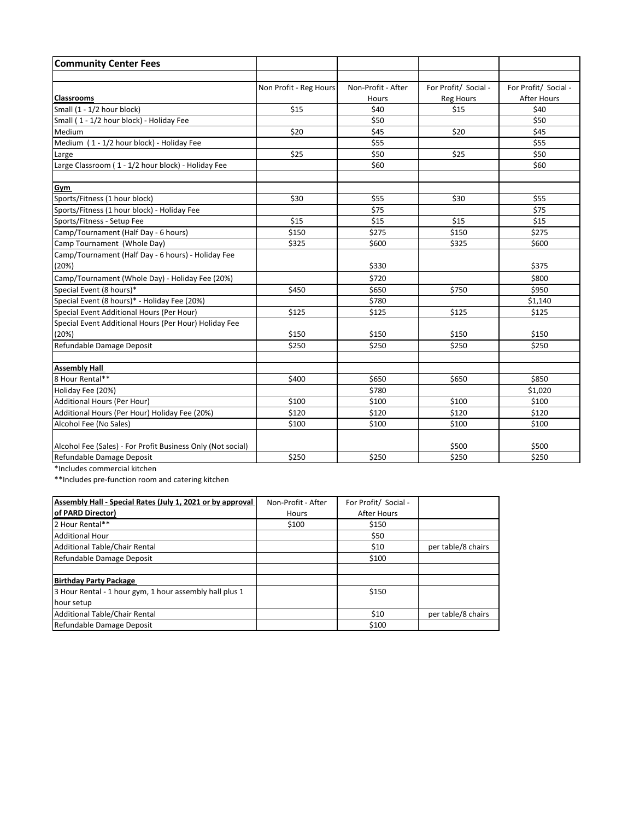| <b>Community Center Fees</b>                                |                        |                    |                      |                      |
|-------------------------------------------------------------|------------------------|--------------------|----------------------|----------------------|
|                                                             |                        |                    |                      |                      |
|                                                             | Non Profit - Reg Hours | Non-Profit - After | For Profit/ Social - | For Profit/ Social - |
| <b>Classrooms</b>                                           |                        | Hours              | <b>Reg Hours</b>     | <b>After Hours</b>   |
| Small (1 - 1/2 hour block)                                  | \$15                   | \$40               | \$15                 | \$40                 |
| Small (1 - 1/2 hour block) - Holiday Fee                    |                        | \$50               |                      | \$50                 |
| Medium                                                      | \$20                   | \$45               | \$20                 | \$45                 |
| Medium (1 - 1/2 hour block) - Holiday Fee                   |                        | \$55               |                      | \$55                 |
| Large                                                       | \$25                   | \$50               | \$25                 | \$50                 |
| Large Classroom (1 - 1/2 hour block) - Holiday Fee          |                        | \$60               |                      | \$60                 |
| <b>Gym</b>                                                  |                        |                    |                      |                      |
| Sports/Fitness (1 hour block)                               | \$30                   | \$55               | \$30                 | \$55                 |
| Sports/Fitness (1 hour block) - Holiday Fee                 |                        | \$75               |                      | \$75                 |
| Sports/Fitness - Setup Fee                                  | \$15                   | \$15               | \$15                 | \$15                 |
| Camp/Tournament (Half Day - 6 hours)                        | \$150                  | \$275              | \$150                | \$275                |
| Camp Tournament (Whole Day)                                 | \$325                  | \$600              | \$325                | \$600                |
| Camp/Tournament (Half Day - 6 hours) - Holiday Fee          |                        |                    |                      |                      |
| (20%)                                                       |                        | \$330              |                      | \$375                |
| Camp/Tournament (Whole Day) - Holiday Fee (20%)             |                        | \$720              |                      | \$800                |
| Special Event (8 hours)*                                    | \$450                  | \$650              | \$750                | \$950                |
| Special Event (8 hours)* - Holiday Fee (20%)                |                        | \$780              |                      | \$1,140              |
| Special Event Additional Hours (Per Hour)                   | \$125                  | \$125              | \$125                | \$125                |
| Special Event Additional Hours (Per Hour) Holiday Fee       |                        |                    |                      |                      |
| (20%)                                                       | \$150                  | \$150              | \$150                | \$150                |
| Refundable Damage Deposit                                   | \$250                  | \$250              | \$250                | \$250                |
| <b>Assembly Hall</b>                                        |                        |                    |                      |                      |
| 8 Hour Rental**                                             | \$400                  | \$650              | \$650                | \$850                |
| Holiday Fee (20%)                                           |                        | \$780              |                      | \$1,020              |
| Additional Hours (Per Hour)                                 | \$100                  | \$100              | \$100                | \$100                |
| Additional Hours (Per Hour) Holiday Fee (20%)               | \$120                  | \$120              | \$120                | \$120                |
| Alcohol Fee (No Sales)                                      | \$100                  | \$100              | \$100                | \$100                |
|                                                             |                        |                    |                      |                      |
| Alcohol Fee (Sales) - For Profit Business Only (Not social) |                        |                    | \$500                | \$500                |
| Refundable Damage Deposit                                   | \$250                  | \$250              | \$250                | \$250                |

\*Includes commercial kitchen

\*\*Includes pre-function room and catering kitchen

| Assembly Hall - Special Rates (July 1, 2021 or by approval | Non-Profit - After | For Profit/ Social - |                    |
|------------------------------------------------------------|--------------------|----------------------|--------------------|
| of PARD Director)                                          | Hours              | After Hours          |                    |
| 2 Hour Rental**                                            | \$100              | \$150                |                    |
| Additional Hour                                            |                    | \$50                 |                    |
| Additional Table/Chair Rental                              |                    | \$10                 | per table/8 chairs |
| Refundable Damage Deposit                                  |                    | \$100                |                    |
|                                                            |                    |                      |                    |
| <b>Birthday Party Package</b>                              |                    |                      |                    |
| 3 Hour Rental - 1 hour gym, 1 hour assembly hall plus 1    |                    | \$150                |                    |
| hour setup                                                 |                    |                      |                    |
| Additional Table/Chair Rental                              |                    | \$10                 | per table/8 chairs |
| Refundable Damage Deposit                                  |                    | \$100                |                    |